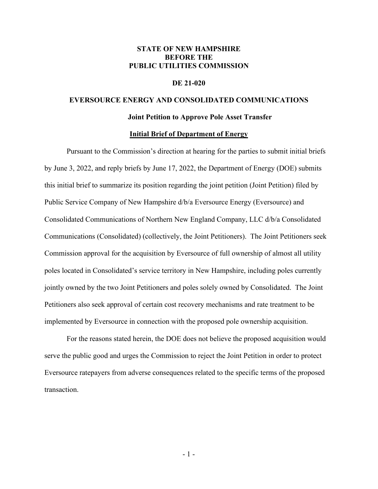## **STATE OF NEW HAMPSHIRE BEFORE THE PUBLIC UTILITIES COMMISSION**

## **DE 21-020**

## **EVERSOURCE ENERGY AND CONSOLIDATED COMMUNICATIONS**

#### **Joint Petition to Approve Pole Asset Transfer**

### **Initial Brief of Department of Energy**

Pursuant to the Commission's direction at hearing for the parties to submit initial briefs by June 3, 2022, and reply briefs by June 17, 2022, the Department of Energy (DOE) submits this initial brief to summarize its position regarding the joint petition (Joint Petition) filed by Public Service Company of New Hampshire d/b/a Eversource Energy (Eversource) and Consolidated Communications of Northern New England Company, LLC d/b/a Consolidated Communications (Consolidated) (collectively, the Joint Petitioners). The Joint Petitioners seek Commission approval for the acquisition by Eversource of full ownership of almost all utility poles located in Consolidated's service territory in New Hampshire, including poles currently jointly owned by the two Joint Petitioners and poles solely owned by Consolidated. The Joint Petitioners also seek approval of certain cost recovery mechanisms and rate treatment to be implemented by Eversource in connection with the proposed pole ownership acquisition.

For the reasons stated herein, the DOE does not believe the proposed acquisition would serve the public good and urges the Commission to reject the Joint Petition in order to protect Eversource ratepayers from adverse consequences related to the specific terms of the proposed transaction.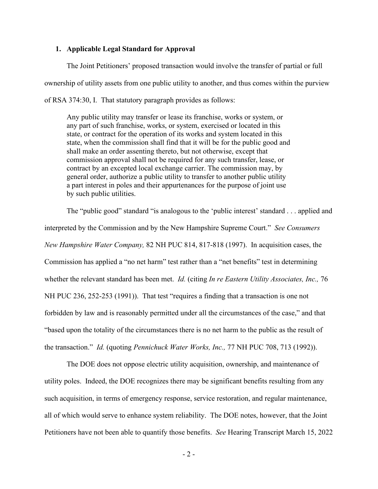## **1. Applicable Legal Standard for Approval**

The Joint Petitioners' proposed transaction would involve the transfer of partial or full ownership of utility assets from one public utility to another, and thus comes within the purview of RSA 374:30, I. That statutory paragraph provides as follows:

Any public utility may transfer or lease its franchise, works or system, or any part of such franchise, works, or system, exercised or located in this state, or contract for the operation of its works and system located in this state, when the commission shall find that it will be for the public good and shall make an order assenting thereto, but not otherwise, except that commission approval shall not be required for any such transfer, lease, or contract by an excepted local exchange carrier. The commission may, by general order, authorize a public utility to transfer to another public utility a part interest in poles and their appurtenances for the purpose of joint use by such public utilities.

The "public good" standard "is analogous to the 'public interest' standard . . . applied and interpreted by the Commission and by the New Hampshire Supreme Court." *See Consumers New Hampshire Water Company,* 82 NH PUC 814, 817-818 (1997). In acquisition cases, the Commission has applied a "no net harm" test rather than a "net benefits" test in determining whether the relevant standard has been met. *Id.* (citing *In re Eastern Utility Associates, Inc.,* 76 NH PUC 236, 252-253 (1991)). That test "requires a finding that a transaction is one not forbidden by law and is reasonably permitted under all the circumstances of the case," and that "based upon the totality of the circumstances there is no net harm to the public as the result of the transaction." *Id.* (quoting *Pennichuck Water Works, Inc.,* 77 NH PUC 708, 713 (1992)).

The DOE does not oppose electric utility acquisition, ownership, and maintenance of utility poles. Indeed, the DOE recognizes there may be significant benefits resulting from any such acquisition, in terms of emergency response, service restoration, and regular maintenance, all of which would serve to enhance system reliability. The DOE notes, however, that the Joint Petitioners have not been able to quantify those benefits. *See* Hearing Transcript March 15, 2022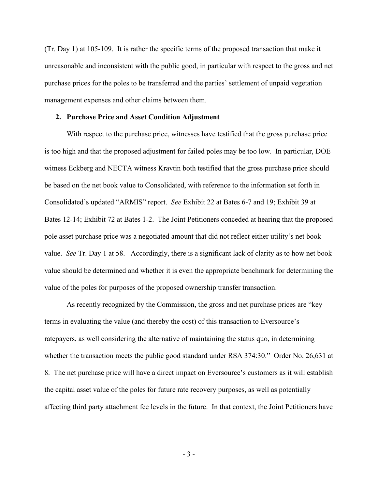(Tr. Day 1) at 105-109. It is rather the specific terms of the proposed transaction that make it unreasonable and inconsistent with the public good, in particular with respect to the gross and net purchase prices for the poles to be transferred and the parties' settlement of unpaid vegetation management expenses and other claims between them.

#### **2. Purchase Price and Asset Condition Adjustment**

With respect to the purchase price, witnesses have testified that the gross purchase price is too high and that the proposed adjustment for failed poles may be too low. In particular, DOE witness Eckberg and NECTA witness Kravtin both testified that the gross purchase price should be based on the net book value to Consolidated, with reference to the information set forth in Consolidated's updated "ARMIS" report. *See* Exhibit 22 at Bates 6-7 and 19; Exhibit 39 at Bates 12-14; Exhibit 72 at Bates 1-2. The Joint Petitioners conceded at hearing that the proposed pole asset purchase price was a negotiated amount that did not reflect either utility's net book value. *See* Tr. Day 1 at 58. Accordingly, there is a significant lack of clarity as to how net book value should be determined and whether it is even the appropriate benchmark for determining the value of the poles for purposes of the proposed ownership transfer transaction.

As recently recognized by the Commission, the gross and net purchase prices are "key terms in evaluating the value (and thereby the cost) of this transaction to Eversource's ratepayers, as well considering the alternative of maintaining the status quo, in determining whether the transaction meets the public good standard under RSA 374:30." Order No. 26,631 at 8. The net purchase price will have a direct impact on Eversource's customers as it will establish the capital asset value of the poles for future rate recovery purposes, as well as potentially affecting third party attachment fee levels in the future. In that context, the Joint Petitioners have

- 3 -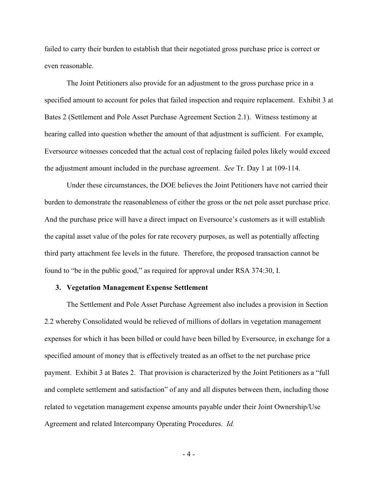failed to carry their burden to establish that their negotiated gross purchase price is correct or even reasonable.

The Joint Petitioners also provide for an adjustment to the gross purchase price in a specified amount to account for poles that failed inspection and require replacement. Exhibit 3 at Bates 2 (Settlement and Pole Asset Purchase Agreement Section 2.1). Witness testimony at hearing called into question whether the amount of that adjustment is sufficient. For example, Eversource witnesses conceded that the actual cost of replacing failed poles likely would exceed the adjustment amount included in the purchase agreement. *See* Tr. Day 1 at 109-114.

Under these circumstances, the DOE believes the Joint Petitioners have not carried their burden to demonstrate the reasonableness of either the gross or the net pole asset purchase price. And the purchase price will have a direct impact on Eversource's customers as it will establish the capital asset value of the poles for rate recovery purposes, as well as potentially affecting third party attachment fee levels in the future. Therefore, the proposed transaction cannot be found to "be in the public good," as required for approval under RSA 374:30, I.

#### **3. Vegetation Management Expense Settlement**

The Settlement and Pole Asset Purchase Agreement also includes a provision in Section 2.2 whereby Consolidated would be relieved of millions of dollars in vegetation management expenses for which it has been billed or could have been billed by Eversource, in exchange for a specified amount of money that is effectively treated as an offset to the net purchase price payment. Exhibit 3 at Bates 2. That provision is characterized by the Joint Petitioners as a "full and complete settlement and satisfaction" of any and all disputes between them, including those related to vegetation management expense amounts payable under their Joint Ownership/Use Agreement and related Intercompany Operating Procedures. *Id.*

- 4 -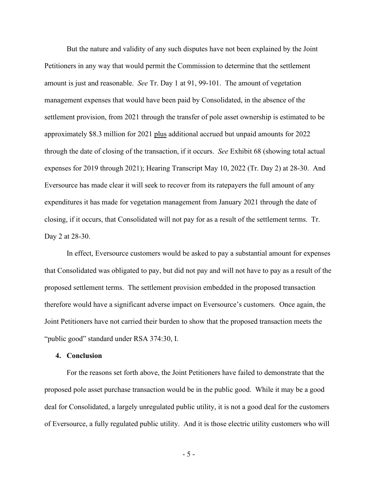But the nature and validity of any such disputes have not been explained by the Joint Petitioners in any way that would permit the Commission to determine that the settlement amount is just and reasonable. *See* Tr. Day 1 at 91, 99-101. The amount of vegetation management expenses that would have been paid by Consolidated, in the absence of the settlement provision, from 2021 through the transfer of pole asset ownership is estimated to be approximately \$8.3 million for 2021 plus additional accrued but unpaid amounts for 2022 through the date of closing of the transaction, if it occurs. *See* Exhibit 68 (showing total actual expenses for 2019 through 2021); Hearing Transcript May 10, 2022 (Tr. Day 2) at 28-30. And Eversource has made clear it will seek to recover from its ratepayers the full amount of any expenditures it has made for vegetation management from January 2021 through the date of closing, if it occurs, that Consolidated will not pay for as a result of the settlement terms. Tr. Day 2 at 28-30.

In effect, Eversource customers would be asked to pay a substantial amount for expenses that Consolidated was obligated to pay, but did not pay and will not have to pay as a result of the proposed settlement terms. The settlement provision embedded in the proposed transaction therefore would have a significant adverse impact on Eversource's customers. Once again, the Joint Petitioners have not carried their burden to show that the proposed transaction meets the "public good" standard under RSA 374:30, I.

### **4. Conclusion**

For the reasons set forth above, the Joint Petitioners have failed to demonstrate that the proposed pole asset purchase transaction would be in the public good. While it may be a good deal for Consolidated, a largely unregulated public utility, it is not a good deal for the customers of Eversource, a fully regulated public utility. And it is those electric utility customers who will

- 5 -